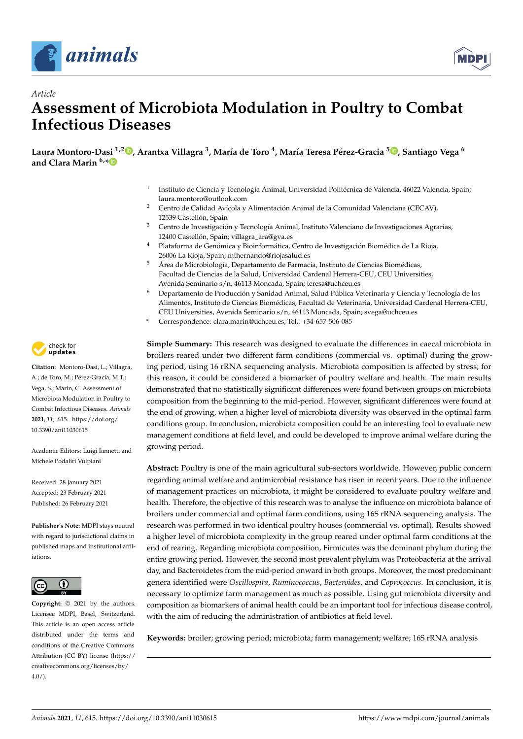

*Article*



# **Assessment of Microbiota Modulation in Poultry to Combat Infectious Diseases**

Laura Montoro-Dasi <sup>1[,](https://orcid.org/0000-0001-5083-9267)2</sup>**D**, Arantxa Villagra <sup>3</sup>, María de Toro <sup>4</sup>, María Teresa Pérez-Gracia <sup>5</sup>D, Santiago Vega <sup>6</sup> **and Clara Marin 6,[\\*](https://orcid.org/0000-0001-6152-3778)**

- 1 Instituto de Ciencia y Tecnología Animal, Universidad Politécnica de Valencia, 46022 Valencia, Spain; laura.montoro@outlook.com
- <sup>2</sup> Centro de Calidad Avícola y Alimentación Animal de la Comunidad Valenciana (CECAV), 12539 Castellón, Spain
- <sup>3</sup> Centro de Investigación y Tecnología Animal, Instituto Valenciano de Investigaciones Agrarias, 12400 Castellón, Spain; villagra\_ara@gva.es
- <sup>4</sup> Plataforma de Genómica y Bioinformática, Centro de Investigación Biomédica de La Rioja, 26006 La Rioja, Spain; mthernando@riojasalud.es
- <sup>5</sup> Área de Microbiología, Departamento de Farmacia, Instituto de Ciencias Biomédicas, Facultad de Ciencias de la Salud, Universidad Cardenal Herrera-CEU, CEU Universities, Avenida Seminario s/n, 46113 Moncada, Spain; teresa@uchceu.es
- <sup>6</sup> Departamento de Producción y Sanidad Animal, Salud Pública Veterinaria y Ciencia y Tecnología de los Alimentos, Instituto de Ciencias Biomédicas, Facultad de Veterinaria, Universidad Cardenal Herrera-CEU, CEU Universities, Avenida Seminario s/n, 46113 Moncada, Spain; svega@uchceu.es
- **\*** Correspondence: clara.marin@uchceu.es; Tel.: +34-657-506-085

**Simple Summary:** This research was designed to evaluate the differences in caecal microbiota in broilers reared under two different farm conditions (commercial vs. optimal) during the growing period, using 16 rRNA sequencing analysis. Microbiota composition is affected by stress; for this reason, it could be considered a biomarker of poultry welfare and health. The main results demonstrated that no statistically significant differences were found between groups on microbiota composition from the beginning to the mid-period. However, significant differences were found at the end of growing, when a higher level of microbiota diversity was observed in the optimal farm conditions group. In conclusion, microbiota composition could be an interesting tool to evaluate new management conditions at field level, and could be developed to improve animal welfare during the growing period.

**Abstract:** Poultry is one of the main agricultural sub-sectors worldwide. However, public concern regarding animal welfare and antimicrobial resistance has risen in recent years. Due to the influence of management practices on microbiota, it might be considered to evaluate poultry welfare and health. Therefore, the objective of this research was to analyse the influence on microbiota balance of broilers under commercial and optimal farm conditions, using 16S rRNA sequencing analysis. The research was performed in two identical poultry houses (commercial vs. optimal). Results showed a higher level of microbiota complexity in the group reared under optimal farm conditions at the end of rearing. Regarding microbiota composition, Firmicutes was the dominant phylum during the entire growing period. However, the second most prevalent phylum was Proteobacteria at the arrival day, and Bacteroidetes from the mid-period onward in both groups. Moreover, the most predominant genera identified were *Oscillospira*, *Ruminococcus*, *Bacteroides*, and *Coprococcus*. In conclusion, it is necessary to optimize farm management as much as possible. Using gut microbiota diversity and composition as biomarkers of animal health could be an important tool for infectious disease control, with the aim of reducing the administration of antibiotics at field level.

**Keywords:** broiler; growing period; microbiota; farm management; welfare; 16S rRNA analysis



**Citation:** Montoro-Dasi, L.; Villagra, A.; de Toro, M.; Pérez-Gracia, M.T.; Vega, S.; Marin, C. Assessment of Microbiota Modulation in Poultry to Combat Infectious Diseases. *Animals* **2021**, *11*, 615. [https://doi.org/](https://doi.org/10.3390/ani11030615) [10.3390/ani11030615](https://doi.org/10.3390/ani11030615)

Academic Editors: Luigi Iannetti and Michele Podaliri Vulpiani

Received: 28 January 2021 Accepted: 23 February 2021 Published: 26 February 2021

**Publisher's Note:** MDPI stays neutral with regard to jurisdictional claims in published maps and institutional affiliations.



**Copyright:** © 2021 by the authors. Licensee MDPI, Basel, Switzerland. This article is an open access article distributed under the terms and conditions of the Creative Commons Attribution (CC BY) license (https:/[/](https://creativecommons.org/licenses/by/4.0/) [creativecommons.org/licenses/by/](https://creativecommons.org/licenses/by/4.0/)  $4.0/$ ).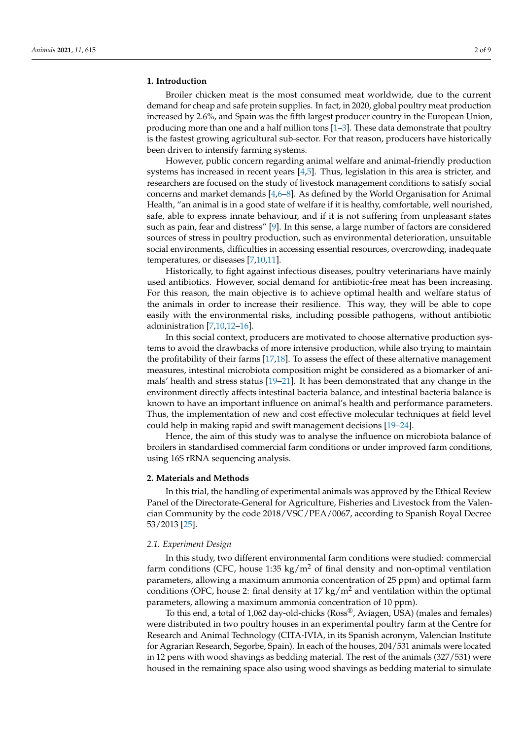# **1. Introduction**

Broiler chicken meat is the most consumed meat worldwide, due to the current demand for cheap and safe protein supplies. In fact, in 2020, global poultry meat production increased by 2.6%, and Spain was the fifth largest producer country in the European Union, producing more than one and a half million tons [\[1–](#page-7-0)[3\]](#page-7-1). These data demonstrate that poultry is the fastest growing agricultural sub-sector. For that reason, producers have historically been driven to intensify farming systems.

However, public concern regarding animal welfare and animal-friendly production systems has increased in recent years [\[4,](#page-7-2)[5\]](#page-7-3). Thus, legislation in this area is stricter, and researchers are focused on the study of livestock management conditions to satisfy social concerns and market demands  $[4,6-8]$  $[4,6-8]$  $[4,6-8]$ . As defined by the World Organisation for Animal Health, "an animal is in a good state of welfare if it is healthy, comfortable, well nourished, safe, able to express innate behaviour, and if it is not suffering from unpleasant states such as pain, fear and distress" [\[9\]](#page-7-6). In this sense, a large number of factors are considered sources of stress in poultry production, such as environmental deterioration, unsuitable social environments, difficulties in accessing essential resources, overcrowding, inadequate temperatures, or diseases [\[7,](#page-7-7)[10,](#page-7-8)[11\]](#page-7-9).

Historically, to fight against infectious diseases, poultry veterinarians have mainly used antibiotics. However, social demand for antibiotic-free meat has been increasing. For this reason, the main objective is to achieve optimal health and welfare status of the animals in order to increase their resilience. This way, they will be able to cope easily with the environmental risks, including possible pathogens, without antibiotic administration [\[7](#page-7-7)[,10,](#page-7-8)[12](#page-7-10)[–16\]](#page-7-11).

In this social context, producers are motivated to choose alternative production systems to avoid the drawbacks of more intensive production, while also trying to maintain the profitability of their farms [\[17](#page-7-12)[,18\]](#page-7-13). To assess the effect of these alternative management measures, intestinal microbiota composition might be considered as a biomarker of animals' health and stress status [\[19–](#page-7-14)[21\]](#page-7-15). It has been demonstrated that any change in the environment directly affects intestinal bacteria balance, and intestinal bacteria balance is known to have an important influence on animal's health and performance parameters. Thus, the implementation of new and cost effective molecular techniques at field level could help in making rapid and swift management decisions [\[19–](#page-7-14)[24\]](#page-7-16).

Hence, the aim of this study was to analyse the influence on microbiota balance of broilers in standardised commercial farm conditions or under improved farm conditions, using 16S rRNA sequencing analysis.

# **2. Materials and Methods**

In this trial, the handling of experimental animals was approved by the Ethical Review Panel of the Directorate-General for Agriculture, Fisheries and Livestock from the Valencian Community by the code 2018/VSC/PEA/0067, according to Spanish Royal Decree 53/2013 [\[25\]](#page-7-17).

# *2.1. Experiment Design*

In this study, two different environmental farm conditions were studied: commercial farm conditions (CFC, house 1:35 kg/m<sup>2</sup> of final density and non-optimal ventilation parameters, allowing a maximum ammonia concentration of 25 ppm) and optimal farm conditions (OFC, house 2: final density at 17 kg/m<sup>2</sup> and ventilation within the optimal parameters, allowing a maximum ammonia concentration of 10 ppm).

To this end, a total of 1,062 day-old-chicks (Ross®, Aviagen, USA) (males and females) were distributed in two poultry houses in an experimental poultry farm at the Centre for Research and Animal Technology (CITA-IVIA, in its Spanish acronym, Valencian Institute for Agrarian Research, Segorbe, Spain). In each of the houses, 204/531 animals were located in 12 pens with wood shavings as bedding material. The rest of the animals (327/531) were housed in the remaining space also using wood shavings as bedding material to simulate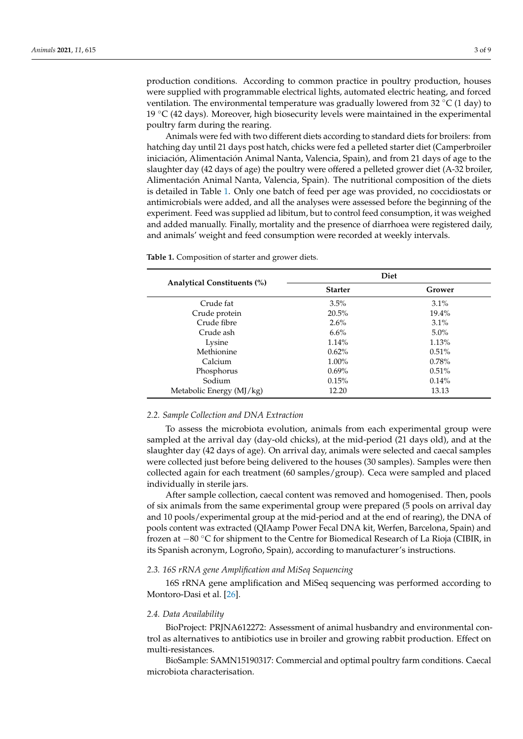production conditions. According to common practice in poultry production, houses were supplied with programmable electrical lights, automated electric heating, and forced ventilation. The environmental temperature was gradually lowered from 32  $\degree$ C (1 day) to 19 ◦C (42 days). Moreover, high biosecurity levels were maintained in the experimental poultry farm during the rearing.

Animals were fed with two different diets according to standard diets for broilers: from hatching day until 21 days post hatch, chicks were fed a pelleted starter diet (Camperbroiler iniciación, Alimentación Animal Nanta, Valencia, Spain), and from 21 days of age to the slaughter day (42 days of age) the poultry were offered a pelleted grower diet (A-32 broiler, Alimentación Animal Nanta, Valencia, Spain). The nutritional composition of the diets is detailed in Table [1.](#page-2-0) Only one batch of feed per age was provided, no coccidiostats or antimicrobials were added, and all the analyses were assessed before the beginning of the experiment. Feed was supplied ad libitum, but to control feed consumption, it was weighed and added manually. Finally, mortality and the presence of diarrhoea were registered daily, and animals' weight and feed consumption were recorded at weekly intervals.

<span id="page-2-0"></span>**Table 1.** Composition of starter and grower diets.

|                                    | Diet           |          |  |  |
|------------------------------------|----------------|----------|--|--|
| <b>Analytical Constituents (%)</b> | <b>Starter</b> | Grower   |  |  |
| Crude fat                          | $3.5\%$        | $3.1\%$  |  |  |
| Crude protein                      | 20.5%          | $19.4\%$ |  |  |
| Crude fibre                        | $2.6\%$        | 3.1%     |  |  |
| Crude ash                          | 6.6%           | $5.0\%$  |  |  |
| Lysine                             | 1.14%          | 1.13%    |  |  |
| Methionine                         | $0.62\%$       | 0.51%    |  |  |
| Calcium                            | $1.00\%$       | 0.78%    |  |  |
| Phosphorus                         | $0.69\%$       | 0.51%    |  |  |
| Sodium                             | 0.15%          | 0.14%    |  |  |
| Metabolic Energy (MJ/kg)           | 12.20          | 13.13    |  |  |

#### *2.2. Sample Collection and DNA Extraction*

To assess the microbiota evolution, animals from each experimental group were sampled at the arrival day (day-old chicks), at the mid-period (21 days old), and at the slaughter day (42 days of age). On arrival day, animals were selected and caecal samples were collected just before being delivered to the houses (30 samples). Samples were then collected again for each treatment (60 samples/group). Ceca were sampled and placed individually in sterile jars.

After sample collection, caecal content was removed and homogenised. Then, pools of six animals from the same experimental group were prepared (5 pools on arrival day and 10 pools/experimental group at the mid-period and at the end of rearing), the DNA of pools content was extracted (QIAamp Power Fecal DNA kit, Werfen, Barcelona, Spain) and frozen at −80 ◦C for shipment to the Centre for Biomedical Research of La Rioja (CIBIR, in its Spanish acronym, Logroño, Spain), according to manufacturer's instructions.

# *2.3. 16S rRNA gene Amplification and MiSeq Sequencing*

16S rRNA gene amplification and MiSeq sequencing was performed according to Montoro-Dasi et al. [\[26\]](#page-7-18).

### *2.4. Data Availability*

BioProject: PRJNA612272: Assessment of animal husbandry and environmental control as alternatives to antibiotics use in broiler and growing rabbit production. Effect on multi-resistances.

BioSample: SAMN15190317: Commercial and optimal poultry farm conditions. Caecal microbiota characterisation.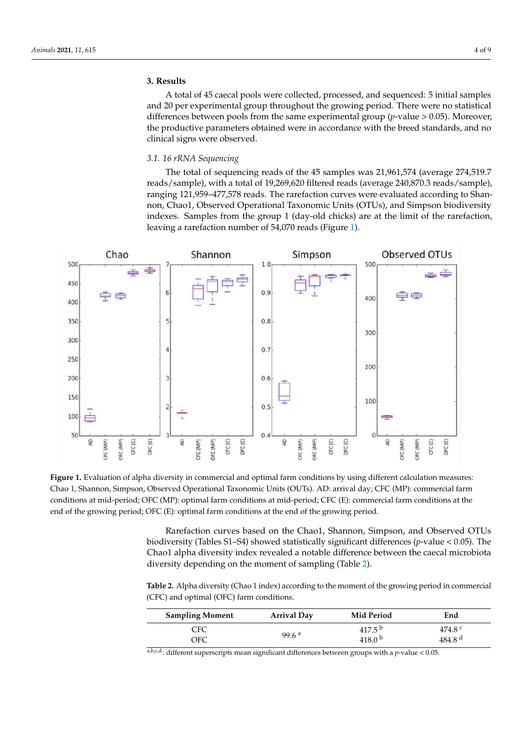# **3. Results**

A total of 45 caecal pools were collected, processed, and sequenced: 5 initial samples and 20 per experimental group throughout the growing period. There were no statistical differences between pools from the same experimental group (*p*-value > 0.05). Moreover, the productive parameters obtained were in accordance with the breed standards, and no clinical signs were observed.

## *3.1. 16 rRNA Sequencing*

The total of sequencing reads of the 45 samples was 21,961,574 (average 274,519.7 reads/sample), with a total of 19,269,620 filtered reads (average 240,870.3 reads/sample), ranging 121,959–477,578 reads. The rarefaction curves were evaluated according to Shannon, Chao1, Observed Operational Taxonomic Units (OTUs), and Simpson biodiversity indexes. Samples from the group 1 (day-old chicks) are at the limit of the rarefaction, leaving a rarefaction number of 54,070 reads (Figure [1\)](#page-3-0).

<span id="page-3-0"></span>

**Figure 1.** Evaluation of alpha diversity in commercial and optimal farm conditions by using different calculation measures: Chao 1, Shannon, Simpson, Observed Operational Taxonomic Units (OUTs). AD: arrival day; CFC (MP): commercial farm conditions at mid-period; OFC (MP): optimal farm conditions at mid-period; CFC (E): commercial farm conditions at the end of the growing period; OFC (E): optimal farm conditions at the end of the growing period.

Rarefaction curves based on the Chao1, Shannon, Simpson, and Observed OTUs biodiversity (Tables S1–S4) showed statistically significant differences (*p*-value < 0.05). The Chao1 alpha diversity index revealed a notable difference between the caecal microbiota diversity depending on the moment of sampling (Table [2\)](#page-3-1).

<span id="page-3-1"></span>**Table 2.** Alpha diversity (Chao 1 index) according to the moment of the growing period in commercial (CFC) and optimal (OFC) farm conditions.

| <b>Sampling Moment</b> | <b>Arrival Day</b> | Mid Period         | End                |
|------------------------|--------------------|--------------------|--------------------|
| <b>CFC</b>             | 99.6 $a$           | 417.5 <sup>b</sup> | 474.8 $^{\circ}$   |
| OFC                    |                    | 418.0 $b$          | 484.8 <sup>d</sup> |

 $a,b,c,d$ : different superscripts mean significant differences between groups with a *p*-value < 0.05.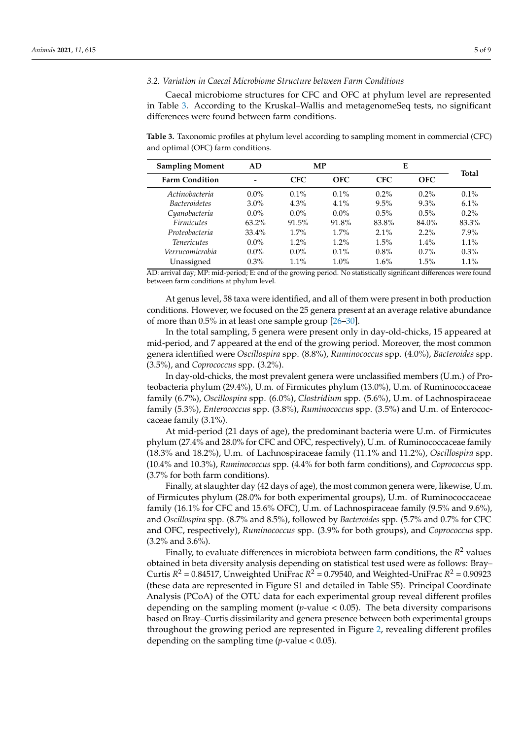#### *3.2. Variation in Caecal Microbiome Structure between Farm Conditions*

Caecal microbiome structures for CFC and OFC at phylum level are represented in Table [3.](#page-4-0) According to the Kruskal–Wallis and metagenomeSeq tests, no significant differences were found between farm conditions.

<span id="page-4-0"></span>**Table 3.** Taxonomic profiles at phylum level according to sampling moment in commercial (CFC) and optimal (OFC) farm conditions.

| <b>Sampling Moment</b> | AD.      | MP         |            | E          |            |         | <b>Total</b> |
|------------------------|----------|------------|------------|------------|------------|---------|--------------|
| <b>Farm Condition</b>  | -        | <b>CFC</b> | <b>OFC</b> | <b>CFC</b> | <b>OFC</b> |         |              |
| Actinobacteria         | $0.0\%$  | $0.1\%$    | $0.1\%$    | $0.2\%$    | $0.2\%$    | $0.1\%$ |              |
| <i>Bacteroidetes</i>   | $3.0\%$  | $4.3\%$    | $4.1\%$    | $9.5\%$    | $9.3\%$    | $6.1\%$ |              |
| Cyanobacteria          | $0.0\%$  | $0.0\%$    | $0.0\%$    | $0.5\%$    | $0.5\%$    | $0.2\%$ |              |
| <b>Firmicutes</b>      | $63.2\%$ | 91.5%      | 91.8%      | 83.8%      | 84.0%      | 83.3%   |              |
| Proteobacteria         | $33.4\%$ | $1.7\%$    | $1.7\%$    | $2.1\%$    | $2.2\%$    | $7.9\%$ |              |
| <i>Tenericutes</i>     | $0.0\%$  | $1.2\%$    | $1.2\%$    | 1.5%       | $1.4\%$    | $1.1\%$ |              |
| Verrucomicrobia        | $0.0\%$  | $0.0\%$    | $0.1\%$    | $0.8\%$    | $0.7\%$    | $0.3\%$ |              |
| Unassigned             | $0.3\%$  | $1.1\%$    | $1.0\%$    | 1.6%       | 1.5%       | $1.1\%$ |              |

AD: arrival day; MP: mid-period; E: end of the growing period. No statistically significant differences were found between farm conditions at phylum level.

At genus level, 58 taxa were identified, and all of them were present in both production conditions. However, we focused on the 25 genera present at an average relative abundance of more than 0.5% in at least one sample group [\[26](#page-7-18)[–30\]](#page-8-0).

In the total sampling, 5 genera were present only in day-old-chicks, 15 appeared at mid-period, and 7 appeared at the end of the growing period. Moreover, the most common genera identified were *Oscillospira* spp. (8.8%), *Ruminococcus* spp. (4.0%), *Bacteroides* spp. (3.5%), and *Coprococcus* spp. (3.2%).

In day-old-chicks, the most prevalent genera were unclassified members (U.m.) of Proteobacteria phylum (29.4%), U.m. of Firmicutes phylum (13.0%), U.m. of Ruminococcaceae family (6.7%), *Oscillospira* spp. (6.0%), *Clostridium* spp. (5.6%), U.m. of Lachnospiraceae family (5.3%), *Enterococcus* spp. (3.8%), *Ruminococcus* spp. (3.5%) and U.m. of Enterococcaceae family (3.1%).

At mid-period (21 days of age), the predominant bacteria were U.m. of Firmicutes phylum (27.4% and 28.0% for CFC and OFC, respectively), U.m. of Ruminococcaceae family (18.3% and 18.2%), U.m. of Lachnospiraceae family (11.1% and 11.2%), *Oscillospira* spp. (10.4% and 10.3%), *Ruminococcus* spp. (4.4% for both farm conditions), and *Coprococcus* spp. (3.7% for both farm conditions).

Finally, at slaughter day (42 days of age), the most common genera were, likewise, U.m. of Firmicutes phylum (28.0% for both experimental groups), U.m. of Ruminococcaceae family (16.1% for CFC and 15.6% OFC), U.m. of Lachnospiraceae family (9.5% and 9.6%), and *Oscillospira* spp. (8.7% and 8.5%), followed by *Bacteroides* spp. (5.7% and 0.7% for CFC and OFC, respectively), *Ruminococcus* spp. (3.9% for both groups), and *Coprococcus* spp. (3.2% and 3.6%).

Finally, to evaluate differences in microbiota between farm conditions, the  $R^2$  values obtained in beta diversity analysis depending on statistical test used were as follows: Bray– Curtis  $R^2$  = 0.84517, Unweighted UniFrac  $R^2$  = 0.79540, and Weighted-UniFrac  $R^2$  = 0.90923 (these data are represented in Figure S1 and detailed in Table S5). Principal Coordinate Analysis (PCoA) of the OTU data for each experimental group reveal different profiles depending on the sampling moment ( $p$ -value  $< 0.05$ ). The beta diversity comparisons based on Bray–Curtis dissimilarity and genera presence between both experimental groups throughout the growing period are represented in Figure [2,](#page-5-0) revealing different profiles depending on the sampling time  $(p$ -value  $< 0.05$ ).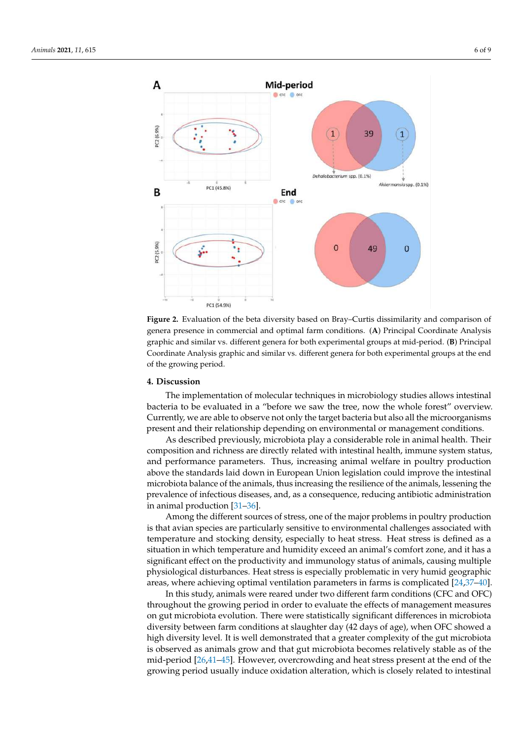<span id="page-5-0"></span>

**Figure 2.** Evaluation of the beta diversity based on Bray–Curtis dissimilarity and comparison of genera presence in commercial and optimal farm conditions. (**A**) Principal Coordinate Analysis graphic and similar vs. different genera for both experimental groups at mid-period. (**B**) Principal Coordinate Analysis graphic and similar vs. different genera for both experimental groups at the end of the growing period.

# **4. Discussion**

The implementation of molecular techniques in microbiology studies allows intestinal bacteria to be evaluated in a "before we saw the tree, now the whole forest" overview. Currently, we are able to observe not only the target bacteria but also all the microorganisms present and their relationship depending on environmental or management conditions.

As described previously, microbiota play a considerable role in animal health. Their composition and richness are directly related with intestinal health, immune system status, and performance parameters. Thus, increasing animal welfare in poultry production above the standards laid down in European Union legislation could improve the intestinal microbiota balance of the animals, thus increasing the resilience of the animals, lessening the prevalence of infectious diseases, and, as a consequence, reducing antibiotic administration in animal production [\[31](#page-8-1)[–36\]](#page-8-2).

Among the different sources of stress, one of the major problems in poultry production is that avian species are particularly sensitive to environmental challenges associated with temperature and stocking density, especially to heat stress. Heat stress is defined as a situation in which temperature and humidity exceed an animal's comfort zone, and it has a significant effect on the productivity and immunology status of animals, causing multiple physiological disturbances. Heat stress is especially problematic in very humid geographic areas, where achieving optimal ventilation parameters in farms is complicated [\[24](#page-7-16)[,37–](#page-8-3)[40\]](#page-8-4).

In this study, animals were reared under two different farm conditions (CFC and OFC) throughout the growing period in order to evaluate the effects of management measures on gut microbiota evolution. There were statistically significant differences in microbiota diversity between farm conditions at slaughter day (42 days of age), when OFC showed a high diversity level. It is well demonstrated that a greater complexity of the gut microbiota is observed as animals grow and that gut microbiota becomes relatively stable as of the mid-period [\[26](#page-7-18)[,41–](#page-8-5)[45\]](#page-8-6). However, overcrowding and heat stress present at the end of the growing period usually induce oxidation alteration, which is closely related to intestinal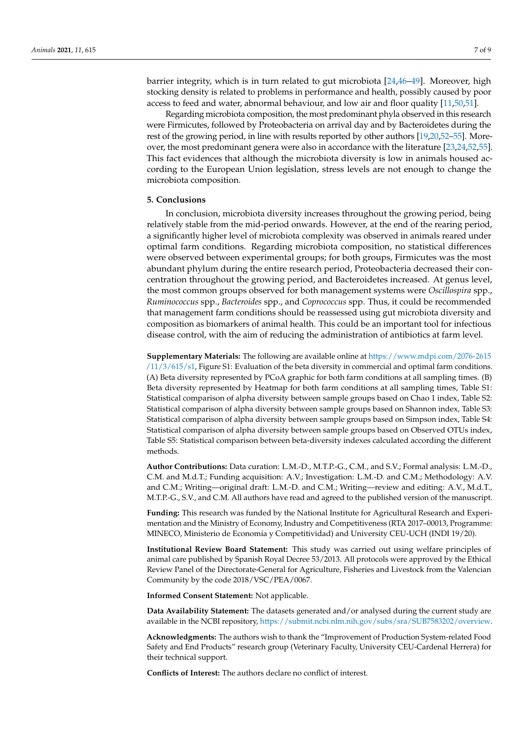barrier integrity, which is in turn related to gut microbiota [\[24,](#page-7-16)[46](#page-8-7)[–49\]](#page-8-8). Moreover, high stocking density is related to problems in performance and health, possibly caused by poor access to feed and water, abnormal behaviour, and low air and floor quality [\[11](#page-7-9)[,50,](#page-8-9)[51\]](#page-8-10).

Regarding microbiota composition, the most predominant phyla observed in this research were Firmicutes, followed by Proteobacteria on arrival day and by Bacteroidetes during the rest of the growing period, in line with results reported by other authors [\[19](#page-7-14)[,20](#page-7-19)[,52](#page-8-11)[–55\]](#page-8-12). Moreover, the most predominant genera were also in accordance with the literature [\[23](#page-7-20)[,24](#page-7-16)[,52](#page-8-11)[,55\]](#page-8-12). This fact evidences that although the microbiota diversity is low in animals housed according to the European Union legislation, stress levels are not enough to change the microbiota composition.

# **5. Conclusions**

In conclusion, microbiota diversity increases throughout the growing period, being relatively stable from the mid-period onwards. However, at the end of the rearing period, a significantly higher level of microbiota complexity was observed in animals reared under optimal farm conditions. Regarding microbiota composition, no statistical differences were observed between experimental groups; for both groups, Firmicutes was the most abundant phylum during the entire research period, Proteobacteria decreased their concentration throughout the growing period, and Bacteroidetes increased. At genus level, the most common groups observed for both management systems were *Oscillospira* spp., *Ruminococcus* spp., *Bacteroides* spp., and *Coprococcus* spp. Thus, it could be recommended that management farm conditions should be reassessed using gut microbiota diversity and composition as biomarkers of animal health. This could be an important tool for infectious disease control, with the aim of reducing the administration of antibiotics at farm level.

**Supplementary Materials:** The following are available online at [https://www.mdpi.com/2076-2615](https://www.mdpi.com/2076-2615/11/3/615/s1) [/11/3/615/s1,](https://www.mdpi.com/2076-2615/11/3/615/s1) Figure S1: Evaluation of the beta diversity in commercial and optimal farm conditions. (A) Beta diversity represented by PCoA graphic for both farm conditions at all sampling times. (B) Beta diversity represented by Heatmap for both farm conditions at all sampling times, Table S1: Statistical comparison of alpha diversity between sample groups based on Chao 1 index, Table S2: Statistical comparison of alpha diversity between sample groups based on Shannon index, Table S3: Statistical comparison of alpha diversity between sample groups based on Simpson index, Table S4: Statistical comparison of alpha diversity between sample groups based on Observed OTUs index, Table S5: Statistical comparison between beta-diversity indexes calculated according the different methods.

**Author Contributions:** Data curation: L.M.-D., M.T.P.-G., C.M., and S.V.; Formal analysis: L.M.-D., C.M. and M.d.T.; Funding acquisition: A.V.; Investigation: L.M.-D. and C.M.; Methodology: A.V. and C.M.; Writing—original draft: L.M.-D. and C.M.; Writing—review and editing: A.V., M.d.T., M.T.P.-G., S.V., and C.M. All authors have read and agreed to the published version of the manuscript.

**Funding:** This research was funded by the National Institute for Agricultural Research and Experimentation and the Ministry of Economy, Industry and Competitiveness (RTA 2017–00013, Programme: MINECO, Ministerio de Economía y Competitividad) and University CEU-UCH (INDI 19/20).

**Institutional Review Board Statement:** This study was carried out using welfare principles of animal care published by Spanish Royal Decree 53/2013. All protocols were approved by the Ethical Review Panel of the Directorate-General for Agriculture, Fisheries and Livestock from the Valencian Community by the code 2018/VSC/PEA/0067.

**Informed Consent Statement:** Not applicable.

**Data Availability Statement:** The datasets generated and/or analysed during the current study are available in the NCBI repository, [https://submit.ncbi.nlm.nih.gov/subs/sra/SUB7583202/overview.](https://submit.ncbi.nlm.nih.gov/subs/sra/SUB7583202/overview)

**Acknowledgments:** The authors wish to thank the "Improvement of Production System-related Food Safety and End Products" research group (Veterinary Faculty, University CEU-Cardenal Herrera) for their technical support.

**Conflicts of Interest:** The authors declare no conflict of interest.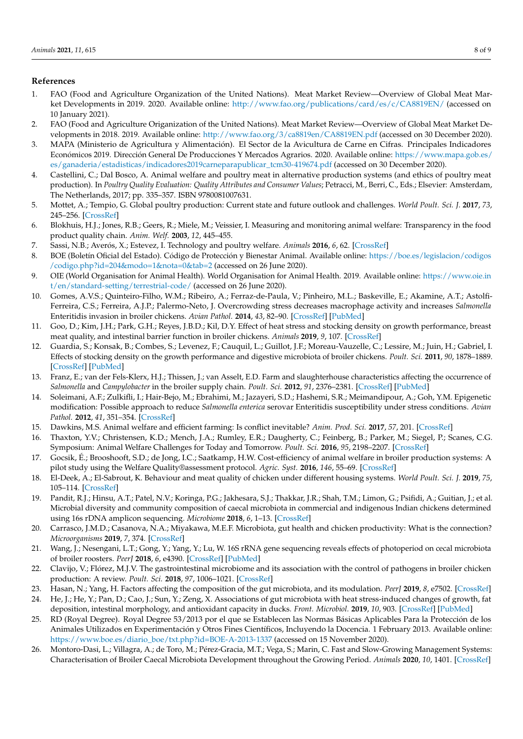# **References**

- <span id="page-7-0"></span>1. FAO (Food and Agriculture Organization of the United Nations). Meat Market Review—Overview of Global Meat Market Developments in 2019. 2020. Available online: <http://www.fao.org/publications/card/es/c/CA8819EN/> (accessed on 10 January 2021).
- 2. FAO (Food and Agriculture Origanization of the United Nations). Meat Market Review—Overview of Global Meat Market Developments in 2018. 2019. Available online: <http://www.fao.org/3/ca8819en/CA8819EN.pdf> (accessed on 30 December 2020).
- <span id="page-7-1"></span>3. MAPA (Ministerio de Agricultura y Alimentación). El Sector de la Avicultura de Carne en Cifras. Principales Indicadores Económicos 2019. Dirección General De Producciones Y Mercados Agrarios. 2020. Available online: [https://www.mapa.gob.es/](https://www.mapa.gob.es/es/ganaderia/estadisticas/indicadores2019carneparapublicar_tcm30-419674.pdf) [es/ganaderia/estadisticas/indicadores2019carneparapublicar\\_tcm30-419674.pdf](https://www.mapa.gob.es/es/ganaderia/estadisticas/indicadores2019carneparapublicar_tcm30-419674.pdf) (accessed on 30 December 2020).
- <span id="page-7-2"></span>4. Castellini, C.; Dal Bosco, A. Animal welfare and poultry meat in alternative production systems (and ethics of poultry meat production). In *Poultry Quality Evaluation: Quality Attributes and Consumer Values*; Petracci, M., Berri, C., Eds.; Elsevier: Amsterdam, The Netherlands, 2017; pp. 335–357. ISBN 9780081007631.
- <span id="page-7-3"></span>5. Mottet, A.; Tempio, G. Global poultry production: Current state and future outlook and challenges. *World Poult. Sci. J.* **2017**, *73*, 245–256. [\[CrossRef\]](http://doi.org/10.1017/S0043933917000071)
- <span id="page-7-4"></span>6. Blokhuis, H.J.; Jones, R.B.; Geers, R.; Miele, M.; Veissier, I. Measuring and monitoring animal welfare: Transparency in the food product quality chain. *Anim. Welf.* **2003**, *12*, 445–455.
- <span id="page-7-7"></span>7. Sassi, N.B.; Averós, X.; Estevez, I. Technology and poultry welfare. *Animals* **2016**, *6*, 62. [\[CrossRef\]](http://doi.org/10.3390/ani6100062)
- <span id="page-7-5"></span>8. BOE (Boletín Oficial del Estado). Código de Protección y Bienestar Animal. Available online: [https://boe.es/legislacion/codigos](https://boe.es/legislacion/codigos/codigo.php?id=204&modo=1¬a=0&tab=2) [/codigo.php?id=204&modo=1&nota=0&tab=2](https://boe.es/legislacion/codigos/codigo.php?id=204&modo=1¬a=0&tab=2) (accessed on 26 June 2020).
- <span id="page-7-6"></span>9. OIE (World Organisation for Animal Health). World Organisation for Animal Health. 2019. Available online: [https://www.oie.in](https://www.oie.int/en/standard-setting/terrestrial-code/) [t/en/standard-setting/terrestrial-code/](https://www.oie.int/en/standard-setting/terrestrial-code/) (accessed on 26 June 2020).
- <span id="page-7-8"></span>10. Gomes, A.V.S.; Quinteiro-Filho, W.M.; Ribeiro, A.; Ferraz-de-Paula, V.; Pinheiro, M.L.; Baskeville, E.; Akamine, A.T.; Astolfi-Ferreira, C.S.; Ferreira, A.J.P.; Palermo-Neto, J. Overcrowding stress decreases macrophage activity and increases *Salmonella* Enteritidis invasion in broiler chickens. *Avian Pathol.* **2014**, *43*, 82–90. [\[CrossRef\]](http://doi.org/10.1080/03079457.2013.874006) [\[PubMed\]](http://www.ncbi.nlm.nih.gov/pubmed/24350836)
- <span id="page-7-9"></span>11. Goo, D.; Kim, J.H.; Park, G.H.; Reyes, J.B.D.; Kil, D.Y. Effect of heat stress and stocking density on growth performance, breast meat quality, and intestinal barrier function in broiler chickens. *Animals* **2019**, *9*, 107. [\[CrossRef\]](http://doi.org/10.3390/ani9030107)
- <span id="page-7-10"></span>12. Guardia, S.; Konsak, B.; Combes, S.; Levenez, F.; Cauquil, L.; Guillot, J.F.; Moreau-Vauzelle, C.; Lessire, M.; Juin, H.; Gabriel, I. Effects of stocking density on the growth performance and digestive microbiota of broiler chickens. *Poult. Sci.* **2011**, *90*, 1878–1889. [\[CrossRef\]](http://doi.org/10.3382/ps.2010-01311) [\[PubMed\]](http://www.ncbi.nlm.nih.gov/pubmed/21844251)
- 13. Franz, E.; van der Fels-Klerx, H.J.; Thissen, J.; van Asselt, E.D. Farm and slaughterhouse characteristics affecting the occurrence of *Salmonella* and *Campylobacter* in the broiler supply chain. *Poult. Sci.* **2012**, *91*, 2376–2381. [\[CrossRef\]](http://doi.org/10.3382/ps.2009-00367) [\[PubMed\]](http://www.ncbi.nlm.nih.gov/pubmed/22912476)
- 14. Soleimani, A.F.; Zulkifli, I.; Hair-Bejo, M.; Ebrahimi, M.; Jazayeri, S.D.; Hashemi, S.R.; Meimandipour, A.; Goh, Y.M. Epigenetic modification: Possible approach to reduce *Salmonella enterica* serovar Enteritidis susceptibility under stress conditions. *Avian Pathol.* **2012**, *41*, 351–354. [\[CrossRef\]](http://doi.org/10.1080/03079457.2012.691155)
- 15. Dawkins, M.S. Animal welfare and efficient farming: Is conflict inevitable? *Anim. Prod. Sci.* **2017**, *57*, 201. [\[CrossRef\]](http://doi.org/10.1071/AN15383)
- <span id="page-7-11"></span>16. Thaxton, Y.V.; Christensen, K.D.; Mench, J.A.; Rumley, E.R.; Daugherty, C.; Feinberg, B.; Parker, M.; Siegel, P.; Scanes, C.G. Symposium: Animal Welfare Challenges for Today and Tomorrow. *Poult. Sci.* **2016**, *95*, 2198–2207. [\[CrossRef\]](http://doi.org/10.3382/ps/pew099)
- <span id="page-7-12"></span>17. Gocsik, É.; Brooshooft, S.D.; de Jong, I.C.; Saatkamp, H.W. Cost-efficiency of animal welfare in broiler production systems: A pilot study using the Welfare Quality®assessment protocol. *Agric. Syst.* **2016**, *146*, 55–69. [\[CrossRef\]](http://doi.org/10.1016/j.agsy.2016.04.001)
- <span id="page-7-13"></span>18. El-Deek, A.; El-Sabrout, K. Behaviour and meat quality of chicken under different housing systems. *World Poult. Sci. J.* **2019**, *75*, 105–114. [\[CrossRef\]](http://doi.org/10.1017/S0043933918000946)
- <span id="page-7-14"></span>19. Pandit, R.J.; Hinsu, A.T.; Patel, N.V.; Koringa, P.G.; Jakhesara, S.J.; Thakkar, J.R.; Shah, T.M.; Limon, G.; Psifidi, A.; Guitian, J.; et al. Microbial diversity and community composition of caecal microbiota in commercial and indigenous Indian chickens determined using 16s rDNA amplicon sequencing. *Microbiome* **2018**, *6*, 1–13. [\[CrossRef\]](http://doi.org/10.1186/s40168-018-0501-9)
- <span id="page-7-19"></span>20. Carrasco, J.M.D.; Casanova, N.A.; Miyakawa, M.E.F. Microbiota, gut health and chicken productivity: What is the connection? *Microorganisms* **2019**, *7*, 374. [\[CrossRef\]](http://doi.org/10.3390/microorganisms7100374)
- <span id="page-7-15"></span>21. Wang, J.; Nesengani, L.T.; Gong, Y.; Yang, Y.; Lu, W. 16S rRNA gene sequencing reveals effects of photoperiod on cecal microbiota of broiler roosters. *PeerJ* **2018**, *6*, e4390. [\[CrossRef\]](http://doi.org/10.7717/peerj.4390) [\[PubMed\]](http://www.ncbi.nlm.nih.gov/pubmed/29492337)
- 22. Clavijo, V.; Flórez, M.J.V. The gastrointestinal microbiome and its association with the control of pathogens in broiler chicken production: A review. *Poult. Sci.* **2018**, *97*, 1006–1021. [\[CrossRef\]](http://doi.org/10.3382/ps/pex359)
- <span id="page-7-20"></span>23. Hasan, N.; Yang, H. Factors affecting the composition of the gut microbiota, and its modulation. *PeerJ* **2019**, *8*, e7502. [\[CrossRef\]](http://doi.org/10.7717/peerj.7502)
- <span id="page-7-16"></span>24. He, J.; He, Y.; Pan, D.; Cao, J.; Sun, Y.; Zeng, X. Associations of gut microbiota with heat stress-induced changes of growth, fat deposition, intestinal morphology, and antioxidant capacity in ducks. *Front. Microbiol.* **2019**, *10*, 903. [\[CrossRef\]](http://doi.org/10.3389/fmicb.2019.00903) [\[PubMed\]](http://www.ncbi.nlm.nih.gov/pubmed/31105682)
- <span id="page-7-17"></span>25. RD (Royal Degree). Royal Degree 53/2013 por el que se Establecen las Normas Básicas Aplicables Para la Protección de los Animales Utilizados en Experimentación y Otros Fines Científicos, Incluyendo la Docencia. 1 February 2013. Available online: [https://www.boe.es/diario\\_boe/txt.php?id=BOE-A-2013-1337](https://www.boe.es/diario_boe/txt.php?id=BOE-A-2013-1337) (accessed on 15 November 2020).
- <span id="page-7-18"></span>26. Montoro-Dasi, L.; Villagra, A.; de Toro, M.; Pérez-Gracia, M.T.; Vega, S.; Marin, C. Fast and Slow-Growing Management Systems: Characterisation of Broiler Caecal Microbiota Development throughout the Growing Period. *Animals* **2020**, *10*, 1401. [\[CrossRef\]](http://doi.org/10.3390/ani10081401)